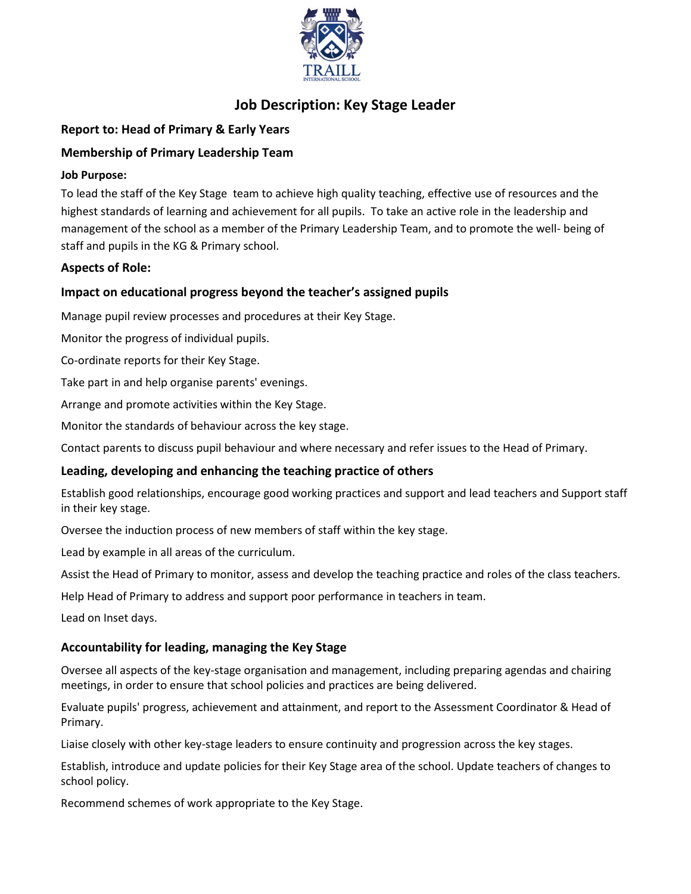

# **Job Description: Key Stage Leader**

# **Report to: Head of Primary & Early Years**

## **Membership of Primary Leadership Team**

#### **Job Purpose:**

To lead the staff of the Key Stage team to achieve high quality teaching, effective use of resources and the highest standards of learning and achievement for all pupils. To take an active role in the leadership and management of the school as a member of the Primary Leadership Team, and to promote the well- being of staff and pupils in the KG & Primary school.

#### **Aspects of Role:**

## **Impact on educational progress beyond the teacher's assigned pupils**

Manage pupil review processes and procedures at their Key Stage.

Monitor the progress of individual pupils.

Co-ordinate reports for their Key Stage.

Take part in and help organise parents' evenings.

Arrange and promote activities within the Key Stage.

Monitor the standards of behaviour across the key stage.

Contact parents to discuss pupil behaviour and where necessary and refer issues to the Head of Primary.

#### **Leading, developing and enhancing the teaching practice of others**

Establish good relationships, encourage good working practices and support and lead teachers and Support staff in their key stage.

Oversee the induction process of new members of staff within the key stage.

Lead by example in all areas of the curriculum.

Assist the Head of Primary to monitor, assess and develop the teaching practice and roles of the class teachers.

Help Head of Primary to address and support poor performance in teachers in team.

Lead on Inset days.

#### **Accountability for leading, managing the Key Stage**

Oversee all aspects of the key-stage organisation and management, including preparing agendas and chairing meetings, in order to ensure that school policies and practices are being delivered.

Evaluate pupils' progress, achievement and attainment, and report to the Assessment Coordinator & Head of Primary.

Liaise closely with other key-stage leaders to ensure continuity and progression across the key stages.

Establish, introduce and update policies for their Key Stage area of the school. Update teachers of changes to school policy.

Recommend schemes of work appropriate to the Key Stage.